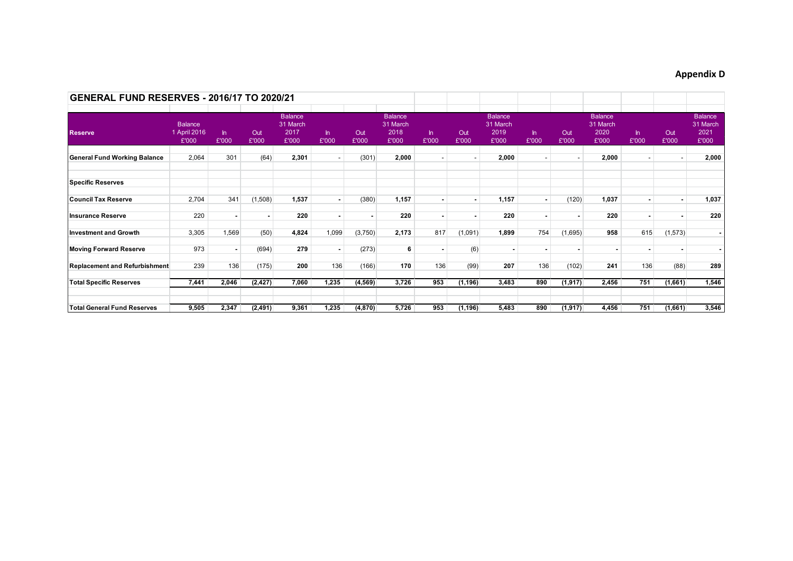## **Appendix D**

| <b>GENERAL FUND RESERVES - 2016/17 TO 2020/21</b> |                                         |                          |              |                                             |                |              |                                             |                          |              |                                             |                          |              |                                             |                          |              |                                             |
|---------------------------------------------------|-----------------------------------------|--------------------------|--------------|---------------------------------------------|----------------|--------------|---------------------------------------------|--------------------------|--------------|---------------------------------------------|--------------------------|--------------|---------------------------------------------|--------------------------|--------------|---------------------------------------------|
| <b>Reserve</b>                                    | <b>Balance</b><br>1 April 2016<br>£'000 | In.<br>£'000             | Out<br>£'000 | <b>Balance</b><br>31 March<br>2017<br>£'000 | $\ln$<br>£'000 | Out<br>£'000 | <b>Balance</b><br>31 March<br>2018<br>£'000 | $\ln$<br>£'000           | Out<br>£'000 | <b>Balance</b><br>31 March<br>2019<br>£'000 | $\ln$<br>£'000           | Out<br>£'000 | <b>Balance</b><br>31 March<br>2020<br>£'000 | $\ln$<br>£'000           | Out<br>£'000 | <b>Balance</b><br>31 March<br>2021<br>£'000 |
| <b>General Fund Working Balance</b>               | 2,064                                   | 301                      | (64)         | 2,301                                       | $\sim$         | (301)        | 2,000                                       | $\overline{\phantom{a}}$ | $\sim$       | 2,000                                       | $\overline{\phantom{a}}$ | $\sim$       | 2,000                                       |                          |              | 2,000                                       |
| <b>Specific Reserves</b>                          |                                         |                          |              |                                             |                |              |                                             |                          |              |                                             |                          |              |                                             |                          |              |                                             |
| <b>Council Tax Reserve</b>                        | 2,704                                   | 341                      | (1,508)      | 1,537                                       |                | (380)        | 1,157                                       | $\overline{\phantom{a}}$ | ۰.           | 1,157                                       |                          | (120)        | 1,037                                       |                          |              | 1,037                                       |
| <b>Insurance Reserve</b>                          | 220                                     |                          |              | 220                                         |                |              | 220                                         |                          |              | 220                                         | ٠                        |              | 220                                         |                          |              | 220                                         |
| <b>Investment and Growth</b>                      | 3,305                                   | 1,569                    | (50)         | 4,824                                       | 1,099          | (3,750)      | 2,173                                       | 817                      | (1,091)      | 1,899                                       | 754                      | (1,695)      | 958                                         | 615                      | (1, 573)     |                                             |
| <b>Moving Forward Reserve</b>                     | 973                                     | $\overline{\phantom{a}}$ | (694)        | 279                                         |                | (273)        | 6                                           |                          | (6)          |                                             | $\overline{\phantom{a}}$ |              | ٠                                           | $\overline{\phantom{a}}$ |              |                                             |
| <b>Replacement and Refurbishment</b>              | 239                                     | 136                      | (175)        | 200                                         | 136            | (166)        | 170                                         | 136                      | (99)         | 207                                         | 136                      | (102)        | 241                                         | 136                      | (88)         | 289                                         |
| <b>Total Specific Reserves</b>                    | 7,441                                   | 2,046                    | (2, 427)     | 7,060                                       | 1,235          | (4, 569)     | 3,726                                       | 953                      | (1, 196)     | 3,483                                       | 890                      | (1, 917)     | 2,456                                       | 751                      | (1,661)      | 1,546                                       |
| <b>Total General Fund Reserves</b>                | 9,505                                   | 2,347                    | (2, 491)     | 9,361                                       | 1,235          | (4, 870)     | 5,726                                       | 953                      | (1, 196)     | 5,483                                       | 890                      | (1, 917)     | 4,456                                       | 751                      | (1,661)      | 3,546                                       |